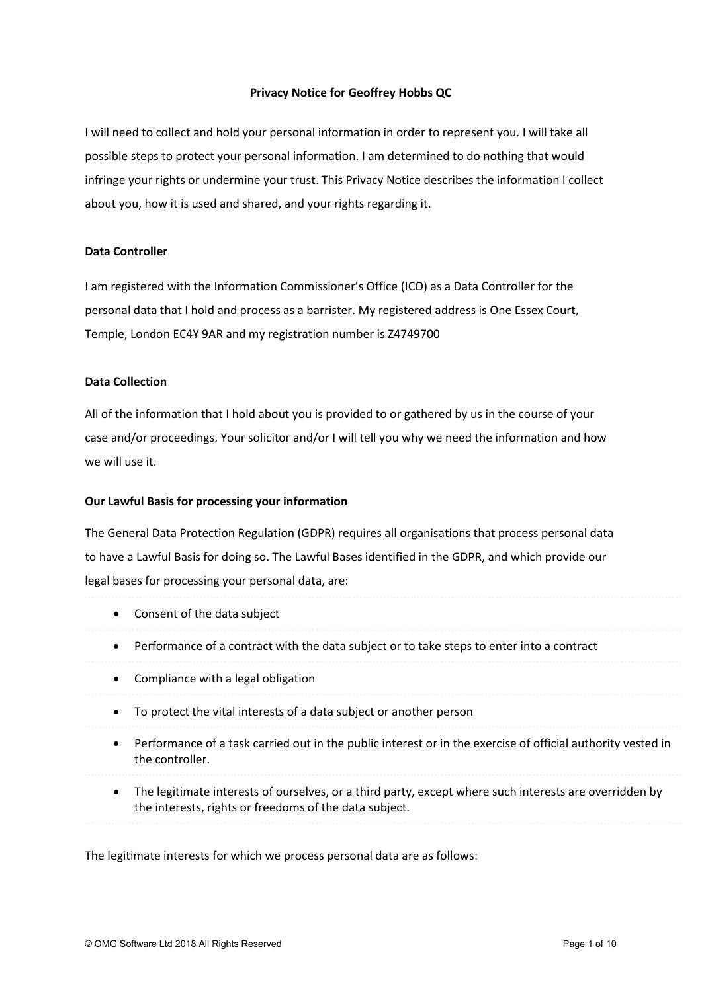# Privacy Notice for Geoffrey Hobbs QC

I will need to collect and hold your personal information in order to represent you. I will take all possible steps to protect your personal information. I am determined to do nothing that would infringe your rights or undermine your trust. This Privacy Notice describes the information I collect about you, how it is used and shared, and your rights regarding it.

### Data Controller

I am registered with the Information Commissioner's Office (ICO) as a Data Controller for the personal data that I hold and process as a barrister. My registered address is One Essex Court, Temple, London EC4Y 9AR and my registration number is Z4749700

### Data Collection

All of the information that I hold about you is provided to or gathered by us in the course of your case and/or proceedings. Your solicitor and/or I will tell you why we need the information and how we will use it.

### Our Lawful Basis for processing your information

The General Data Protection Regulation (GDPR) requires all organisations that process personal data to have a Lawful Basis for doing so. The Lawful Bases identified in the GDPR, and which provide our legal bases for processing your personal data, are:

- Consent of the data subject
- Performance of a contract with the data subject or to take steps to enter into a contract
- Compliance with a legal obligation
- To protect the vital interests of a data subject or another person
- Performance of a task carried out in the public interest or in the exercise of official authority vested in the controller.
- The legitimate interests of ourselves, or a third party, except where such interests are overridden by the interests, rights or freedoms of the data subject.

The legitimate interests for which we process personal data are as follows: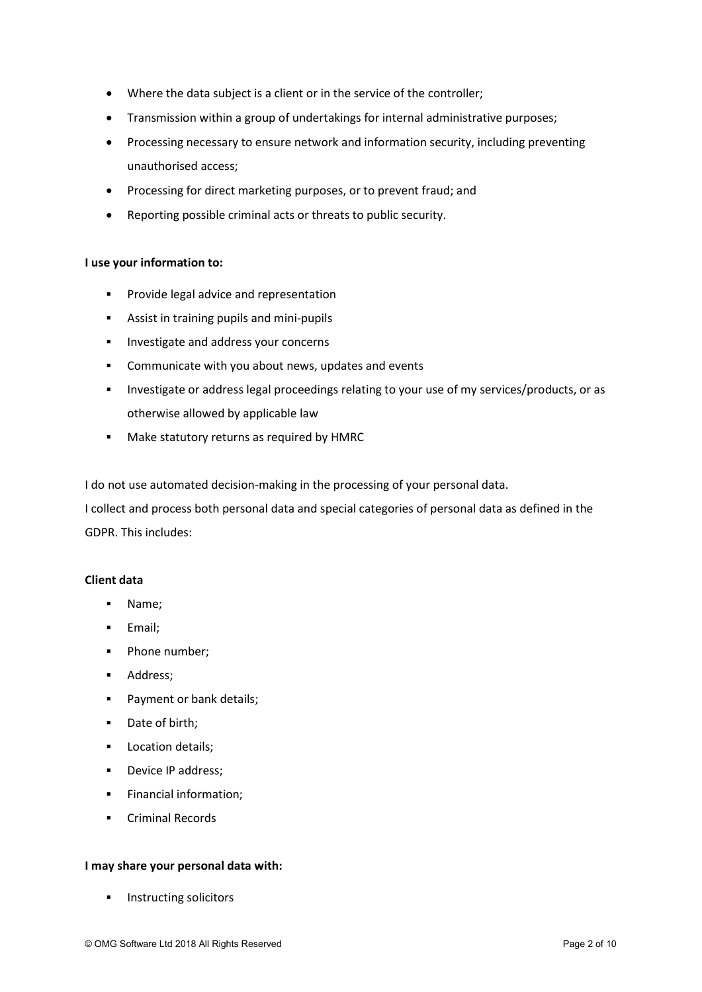- Where the data subject is a client or in the service of the controller;
- Transmission within a group of undertakings for internal administrative purposes;
- Processing necessary to ensure network and information security, including preventing unauthorised access;
- Processing for direct marketing purposes, or to prevent fraud; and
- Reporting possible criminal acts or threats to public security.

# I use your information to:

- **Provide legal advice and representation**
- **Assist in training pupils and mini-pupils**
- **Investigate and address your concerns**
- **EXECOMMUNICATE With you about news, updates and events**
- Investigate or address legal proceedings relating to your use of my services/products, or as otherwise allowed by applicable law
- **Make statutory returns as required by HMRC**

I do not use automated decision-making in the processing of your personal data.

I collect and process both personal data and special categories of personal data as defined in the GDPR. This includes:

# Client data

- Name;
- **Email**:
- Phone number;
- **Address:**
- **Payment or bank details;**
- Date of birth;
- **Location details;**
- **Device IP address:**
- **Financial information;**
- Criminal Records

# I may share your personal data with:

Instructing solicitors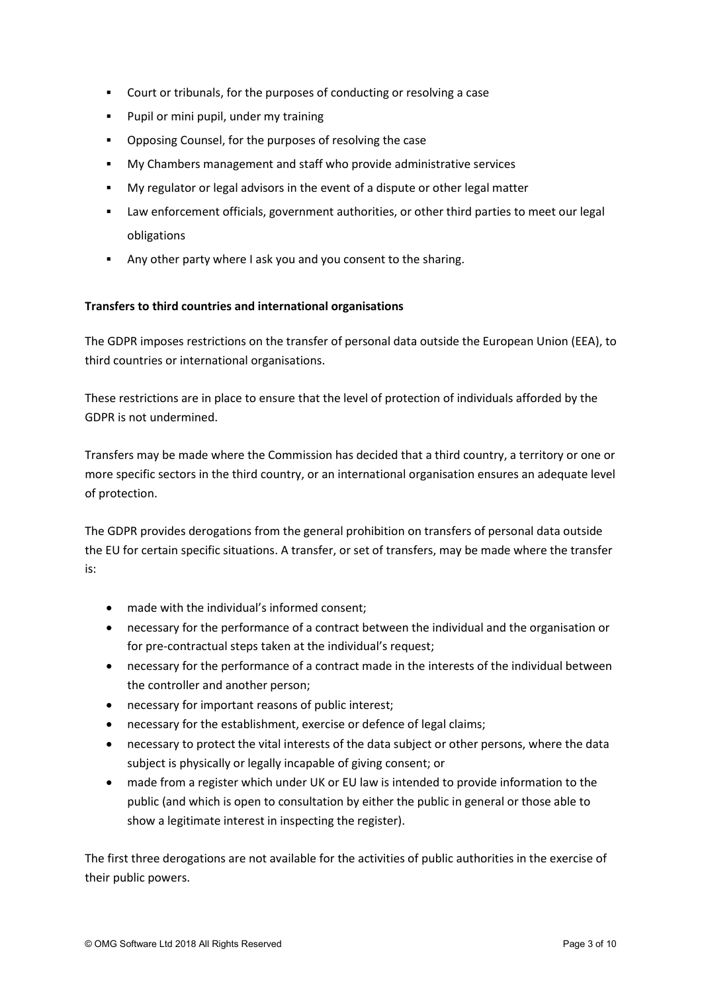- Court or tribunals, for the purposes of conducting or resolving a case
- **Pupil or mini pupil, under my training**
- Opposing Counsel, for the purposes of resolving the case
- My Chambers management and staff who provide administrative services
- My regulator or legal advisors in the event of a dispute or other legal matter
- Law enforcement officials, government authorities, or other third parties to meet our legal obligations
- Any other party where I ask you and you consent to the sharing.

# Transfers to third countries and international organisations

The GDPR imposes restrictions on the transfer of personal data outside the European Union (EEA), to third countries or international organisations.

These restrictions are in place to ensure that the level of protection of individuals afforded by the GDPR is not undermined.

Transfers may be made where the Commission has decided that a third country, a territory or one or more specific sectors in the third country, or an international organisation ensures an adequate level of protection.

The GDPR provides derogations from the general prohibition on transfers of personal data outside the EU for certain specific situations. A transfer, or set of transfers, may be made where the transfer is:

- made with the individual's informed consent;
- necessary for the performance of a contract between the individual and the organisation or for pre-contractual steps taken at the individual's request;
- necessary for the performance of a contract made in the interests of the individual between the controller and another person;
- necessary for important reasons of public interest;
- necessary for the establishment, exercise or defence of legal claims;
- necessary to protect the vital interests of the data subject or other persons, where the data subject is physically or legally incapable of giving consent; or
- made from a register which under UK or EU law is intended to provide information to the public (and which is open to consultation by either the public in general or those able to show a legitimate interest in inspecting the register).

The first three derogations are not available for the activities of public authorities in the exercise of their public powers.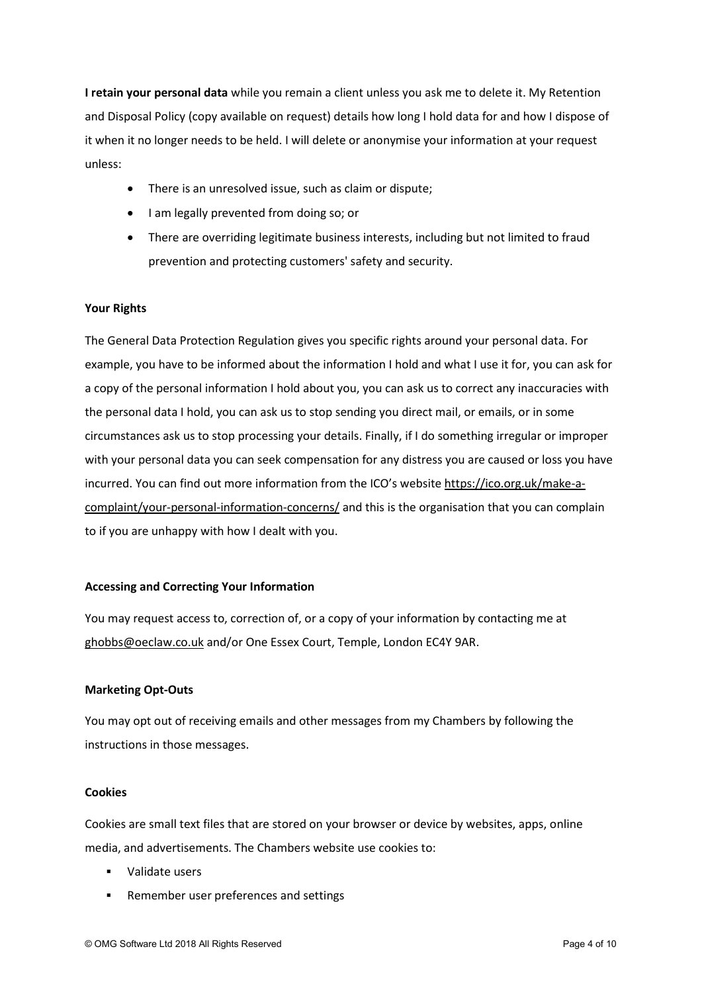I retain your personal data while you remain a client unless you ask me to delete it. My Retention and Disposal Policy (copy available on request) details how long I hold data for and how I dispose of it when it no longer needs to be held. I will delete or anonymise your information at your request unless:

- There is an unresolved issue, such as claim or dispute;
- I am legally prevented from doing so; or
- There are overriding legitimate business interests, including but not limited to fraud prevention and protecting customers' safety and security.

### Your Rights

The General Data Protection Regulation gives you specific rights around your personal data. For example, you have to be informed about the information I hold and what I use it for, you can ask for a copy of the personal information I hold about you, you can ask us to correct any inaccuracies with the personal data I hold, you can ask us to stop sending you direct mail, or emails, or in some circumstances ask us to stop processing your details. Finally, if I do something irregular or improper with your personal data you can seek compensation for any distress you are caused or loss you have incurred. You can find out more information from the ICO's website https://ico.org.uk/make-acomplaint/your-personal-information-concerns/ and this is the organisation that you can complain to if you are unhappy with how I dealt with you.

#### Accessing and Correcting Your Information

You may request access to, correction of, or a copy of your information by contacting me at ghobbs@oeclaw.co.uk and/or One Essex Court, Temple, London EC4Y 9AR.

#### Marketing Opt-Outs

You may opt out of receiving emails and other messages from my Chambers by following the instructions in those messages.

#### Cookies

Cookies are small text files that are stored on your browser or device by websites, apps, online media, and advertisements. The Chambers website use cookies to:

- Validate users
- Remember user preferences and settings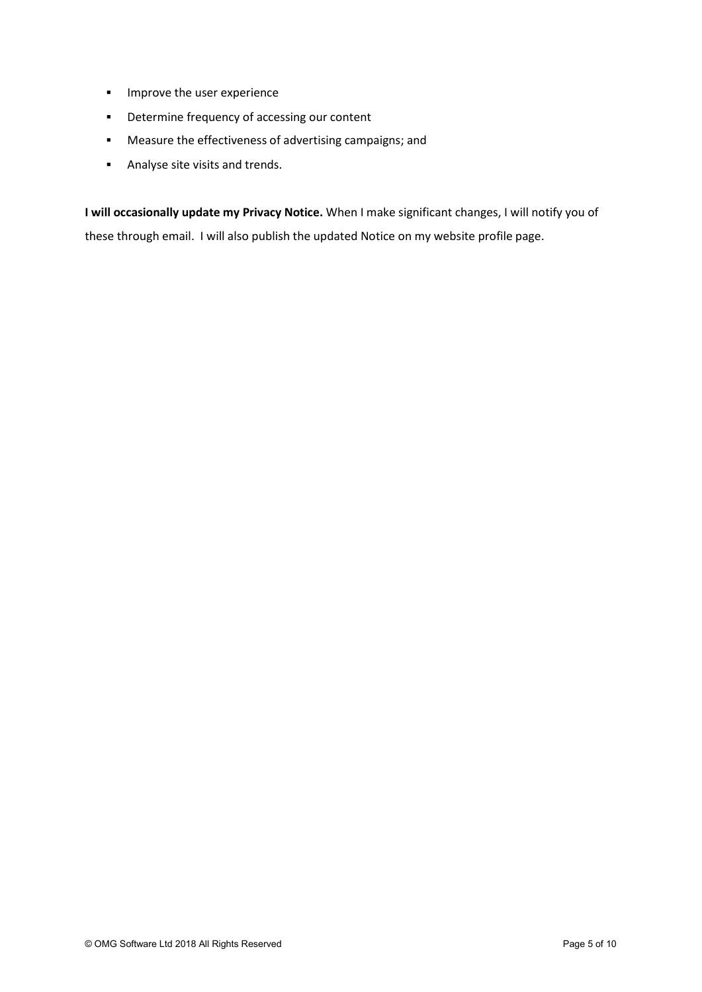- **IMPROVE the user experience**
- **•** Determine frequency of accessing our content
- Measure the effectiveness of advertising campaigns; and
- **Analyse site visits and trends.**

I will occasionally update my Privacy Notice. When I make significant changes, I will notify you of these through email. I will also publish the updated Notice on my website profile page.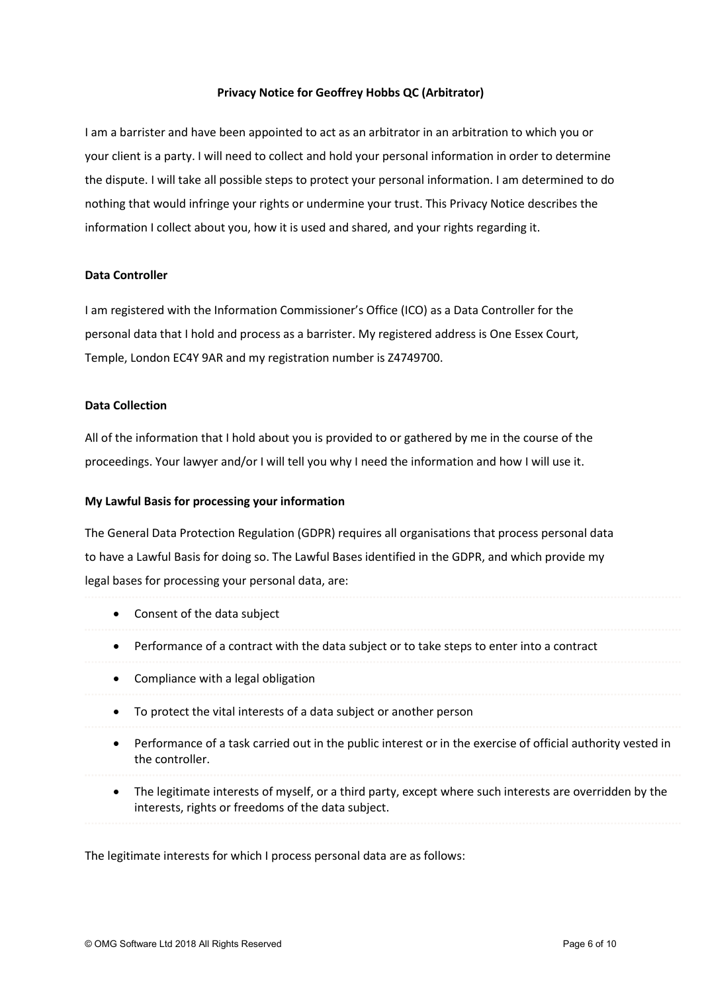# Privacy Notice for Geoffrey Hobbs QC (Arbitrator)

I am a barrister and have been appointed to act as an arbitrator in an arbitration to which you or your client is a party. I will need to collect and hold your personal information in order to determine the dispute. I will take all possible steps to protect your personal information. I am determined to do nothing that would infringe your rights or undermine your trust. This Privacy Notice describes the information I collect about you, how it is used and shared, and your rights regarding it.

#### Data Controller

I am registered with the Information Commissioner's Office (ICO) as a Data Controller for the personal data that I hold and process as a barrister. My registered address is One Essex Court, Temple, London EC4Y 9AR and my registration number is Z4749700.

### Data Collection

All of the information that I hold about you is provided to or gathered by me in the course of the proceedings. Your lawyer and/or I will tell you why I need the information and how I will use it.

### My Lawful Basis for processing your information

The General Data Protection Regulation (GDPR) requires all organisations that process personal data to have a Lawful Basis for doing so. The Lawful Bases identified in the GDPR, and which provide my legal bases for processing your personal data, are:

- Consent of the data subject
- Performance of a contract with the data subject or to take steps to enter into a contract
- Compliance with a legal obligation
- To protect the vital interests of a data subject or another person
- Performance of a task carried out in the public interest or in the exercise of official authority vested in the controller.
- The legitimate interests of myself, or a third party, except where such interests are overridden by the interests, rights or freedoms of the data subject.

The legitimate interests for which I process personal data are as follows: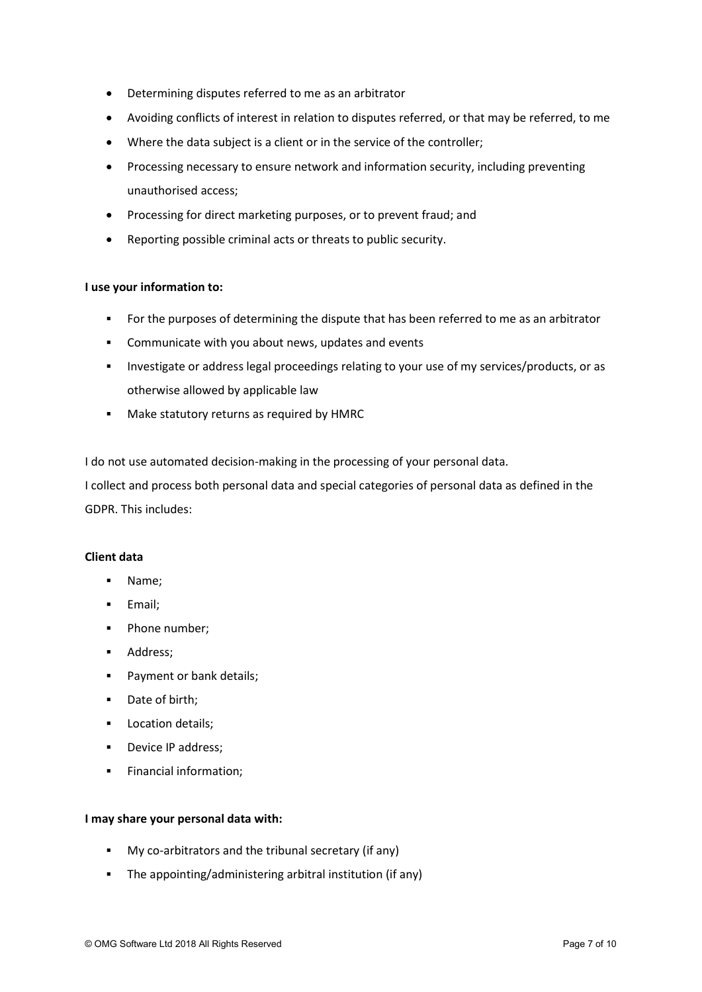- Determining disputes referred to me as an arbitrator
- Avoiding conflicts of interest in relation to disputes referred, or that may be referred, to me
- Where the data subject is a client or in the service of the controller;
- Processing necessary to ensure network and information security, including preventing unauthorised access;
- Processing for direct marketing purposes, or to prevent fraud; and
- Reporting possible criminal acts or threats to public security.

# I use your information to:

- For the purposes of determining the dispute that has been referred to me as an arbitrator
- Communicate with you about news, updates and events
- Investigate or address legal proceedings relating to your use of my services/products, or as otherwise allowed by applicable law
- **Make statutory returns as required by HMRC**

I do not use automated decision-making in the processing of your personal data.

I collect and process both personal data and special categories of personal data as defined in the GDPR. This includes:

# Client data

- Name;
- **Email**;
- **Phone number:**
- **Address**;
- **Payment or bank details;**
- Date of birth;
- **Location details;**
- Device IP address;
- **Financial information;**

# I may share your personal data with:

- My co-arbitrators and the tribunal secretary (if any)
- The appointing/administering arbitral institution (if any)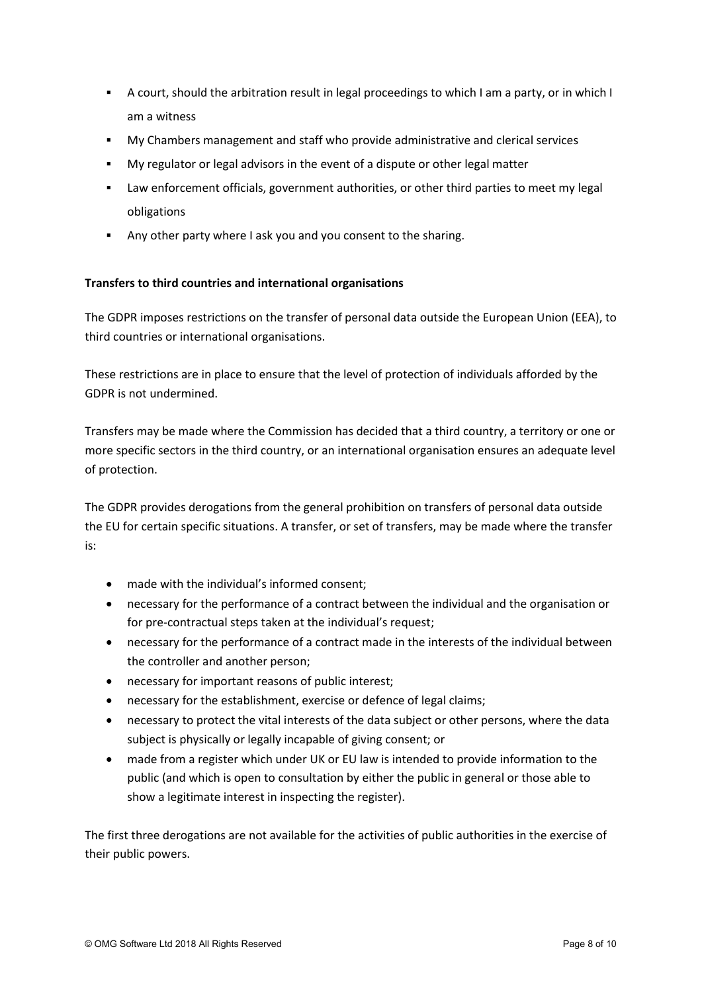- A court, should the arbitration result in legal proceedings to which I am a party, or in which I am a witness
- My Chambers management and staff who provide administrative and clerical services
- My regulator or legal advisors in the event of a dispute or other legal matter
- Law enforcement officials, government authorities, or other third parties to meet my legal obligations
- Any other party where I ask you and you consent to the sharing.

# Transfers to third countries and international organisations

The GDPR imposes restrictions on the transfer of personal data outside the European Union (EEA), to third countries or international organisations.

These restrictions are in place to ensure that the level of protection of individuals afforded by the GDPR is not undermined.

Transfers may be made where the Commission has decided that a third country, a territory or one or more specific sectors in the third country, or an international organisation ensures an adequate level of protection.

The GDPR provides derogations from the general prohibition on transfers of personal data outside the EU for certain specific situations. A transfer, or set of transfers, may be made where the transfer is:

- made with the individual's informed consent;
- necessary for the performance of a contract between the individual and the organisation or for pre-contractual steps taken at the individual's request;
- necessary for the performance of a contract made in the interests of the individual between the controller and another person;
- necessary for important reasons of public interest;
- necessary for the establishment, exercise or defence of legal claims;
- necessary to protect the vital interests of the data subject or other persons, where the data subject is physically or legally incapable of giving consent; or
- made from a register which under UK or EU law is intended to provide information to the public (and which is open to consultation by either the public in general or those able to show a legitimate interest in inspecting the register).

The first three derogations are not available for the activities of public authorities in the exercise of their public powers.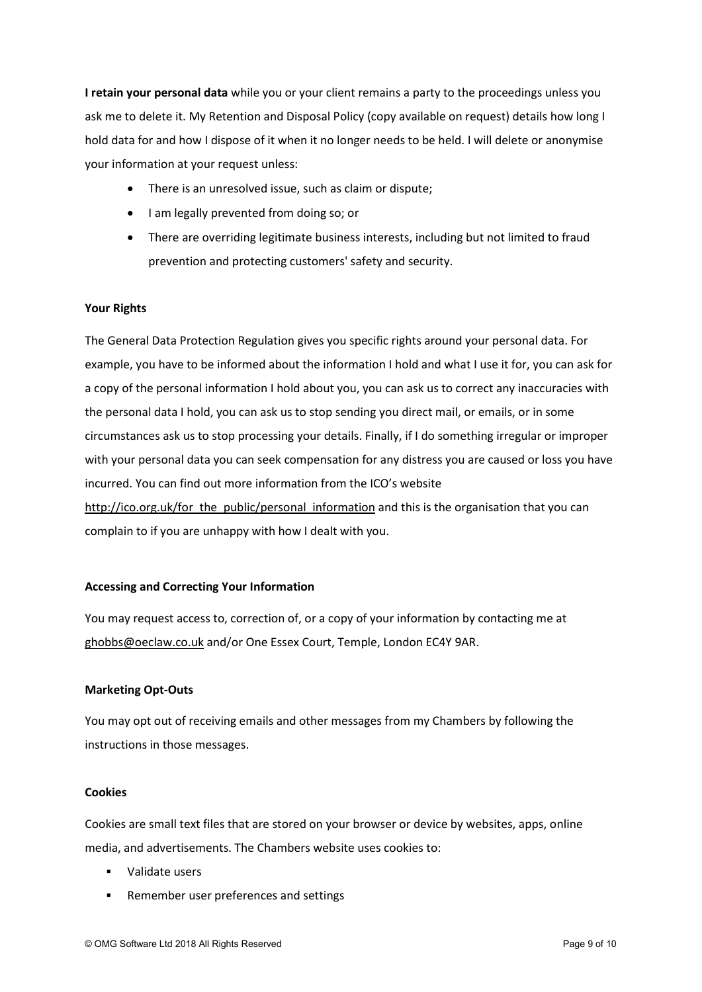I retain your personal data while you or your client remains a party to the proceedings unless you ask me to delete it. My Retention and Disposal Policy (copy available on request) details how long I hold data for and how I dispose of it when it no longer needs to be held. I will delete or anonymise your information at your request unless:

- There is an unresolved issue, such as claim or dispute;
- I am legally prevented from doing so; or
- There are overriding legitimate business interests, including but not limited to fraud prevention and protecting customers' safety and security.

# Your Rights

The General Data Protection Regulation gives you specific rights around your personal data. For example, you have to be informed about the information I hold and what I use it for, you can ask for a copy of the personal information I hold about you, you can ask us to correct any inaccuracies with the personal data I hold, you can ask us to stop sending you direct mail, or emails, or in some circumstances ask us to stop processing your details. Finally, if I do something irregular or improper with your personal data you can seek compensation for any distress you are caused or loss you have incurred. You can find out more information from the ICO's website http://ico.org.uk/for\_the\_public/personal\_information and this is the organisation that you can complain to if you are unhappy with how I dealt with you.

# Accessing and Correcting Your Information

You may request access to, correction of, or a copy of your information by contacting me at ghobbs@oeclaw.co.uk and/or One Essex Court, Temple, London EC4Y 9AR.

#### Marketing Opt-Outs

You may opt out of receiving emails and other messages from my Chambers by following the instructions in those messages.

#### Cookies

Cookies are small text files that are stored on your browser or device by websites, apps, online media, and advertisements. The Chambers website uses cookies to:

- Validate users
- Remember user preferences and settings